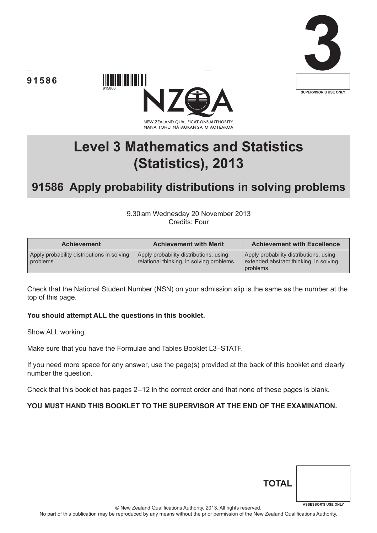







# **91586 Apply probability distributions in solving problems**

9.30am Wednesday 20 November 2013 Credits: Four

| <b>Achievement</b>                                      | <b>Achievement with Merit</b>                                                       | <b>Achievement with Excellence</b>                                                            |
|---------------------------------------------------------|-------------------------------------------------------------------------------------|-----------------------------------------------------------------------------------------------|
| Apply probability distributions in solving<br>problems. | Apply probability distributions, using<br>relational thinking, in solving problems. | Apply probability distributions, using<br>extended abstract thinking, in solving<br>problems. |

Check that the National Student Number (NSN) on your admission slip is the same as the number at the top of this page.

#### **You should attempt ALL the questions in this booklet.**

Show ALL working.

Make sure that you have the Formulae and Tables Booklet L3–STATF.

If you need more space for any answer, use the page(s) provided at the back of this booklet and clearly number the question.

Check that this booklet has pages 2–12 in the correct order and that none of these pages is blank.

### **YOU MUST HAND THIS BOOKLET TO THE SUPERVISOR AT THE END OF THE EXAMINATION.**

© New Zealand Qualifications Authority, 2013. All rights reserved.

No part of this publication may be reproduced by any means without the prior permission of the New Zealand Qualifications Authority.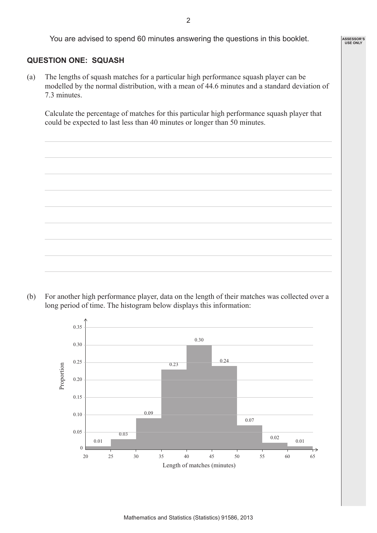You are advised to spend 60 minutes answering the questions in this booklet.

### **QUESTION ONE: SQUASH**

(a) The lengths of squash matches for a particular high performance squash player can be modelled by the normal distribution, with a mean of 44.6 minutes and a standard deviation of 7.3 minutes.

Calculate the percentage of matches for this particular high performance squash player that could be expected to last less than 40 minutes or longer than 50 minutes.

(b) For another high performance player, data on the length of their matches was collected over a long period of time. The histogram below displays this information:



**ASSESSOR'S USE ONLY**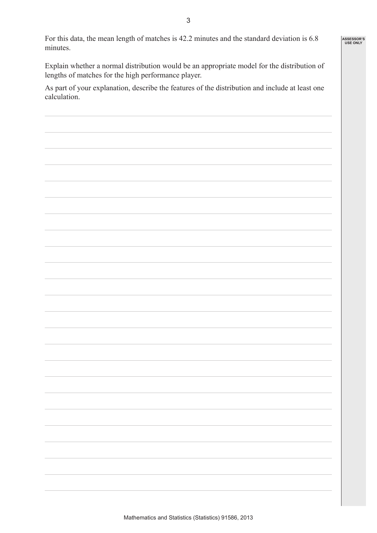**ASSESSOR'S USE ONLY**

For this data, the mean length of matches is 42.2 minutes and the standard deviation is 6.8 minutes.

Explain whether a normal distribution would be an appropriate model for the distribution of lengths of matches for the high performance player.

As part of your explanation, describe the features of the distribution and include at least one calculation.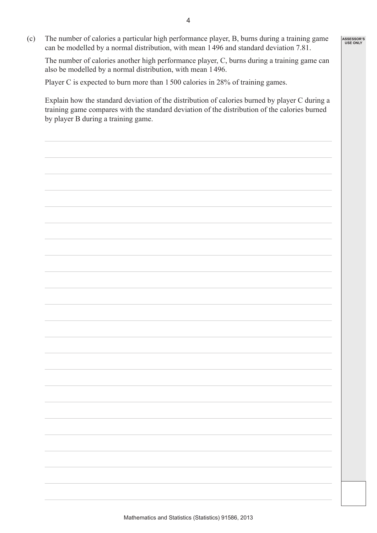(c) The number of calories a particular high performance player, B, burns during a training game can be modelled by a normal distribution, with mean 1496 and standard deviation 7.81.

The number of calories another high performance player, C, burns during a training game can also be modelled by a normal distribution, with mean 1496.

Player C is expected to burn more than 1500 calories in 28% of training games.

Explain how the standard deviation of the distribution of calories burned by player C during a training game compares with the standard deviation of the distribution of the calories burned by player B during a training game.

**ASSESSOR'S USE ONLY**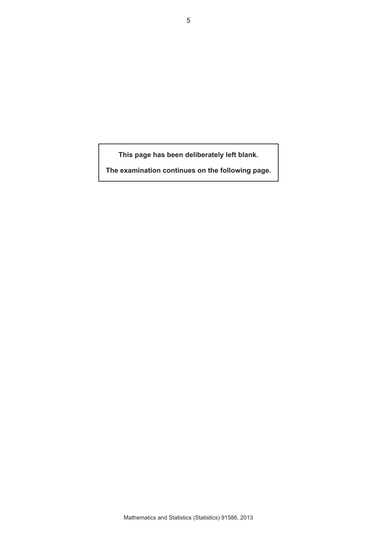**This page has been deliberately left blank.**

**The examination continues on the following page.**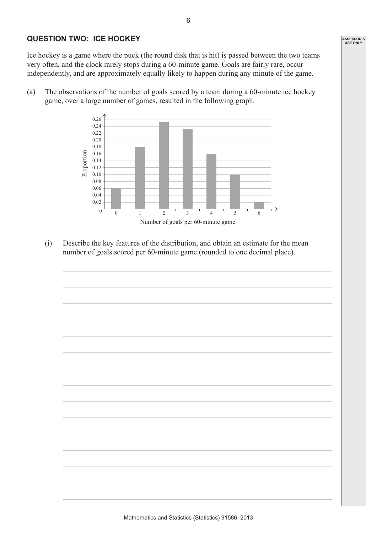## **QUESTION TWO: ICE HOCKEY**

Ice hockey is a game where the puck (the round disk that is hit) is passed between the two teams very often, and the clock rarely stops during a 60-minute game. Goals are fairly rare, occur independently, and are approximately equally likely to happen during any minute of the game.

(a) The observations of the number of goals scored by a team during a 60-minute ice hockey game, over a large number of games, resulted in the following graph.



(i) Describe the key features of the distribution, and obtain an estimate for the mean number of goals scored per 60-minute game (rounded to one decimal place).

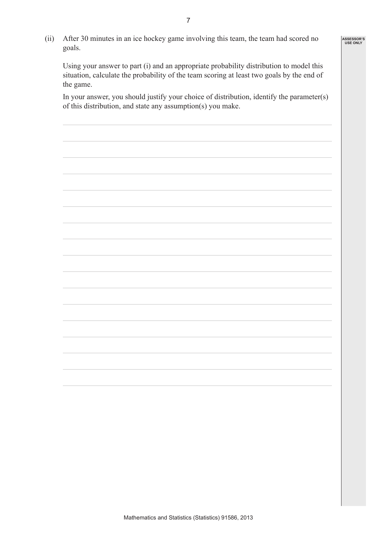(ii) After 30 minutes in an ice hockey game involving this team, the team had scored no goals.

 Using your answer to part (i) and an appropriate probability distribution to model this situation, calculate the probability of the team scoring at least two goals by the end of the game.

**ASSESSOR'S USE ONLY**

 In your answer, you should justify your choice of distribution, identify the parameter(s) of this distribution, and state any assumption(s) you make.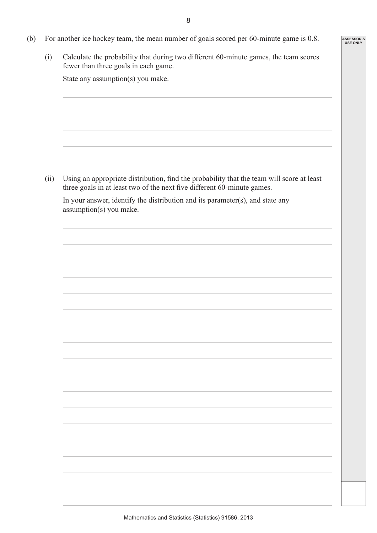**ASSESSOR'S USE ONLY**

- (b) For another ice hockey team, the mean number of goals scored per 60-minute game is 0.8.
	- (i) Calculate the probability that during two different 60-minute games, the team scores fewer than three goals in each game.

State any assumption(s) you make.

 (ii) Using an appropriate distribution, find the probability that the team will score at least three goals in at least two of the next five different 60-minute games.

 In your answer, identify the distribution and its parameter(s), and state any assumption(s) you make.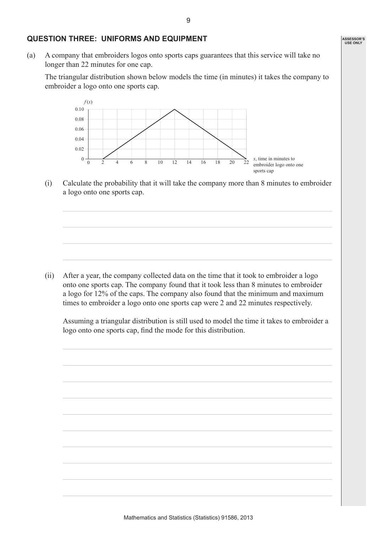#### **QUESTION THREE: UNIFORMS AND EQUIPMENT**

 $0 - \frac{1}{0}$ 0.02 0.04 0.06 0.08 0.10

*f* (*x*)

(a) A company that embroiders logos onto sports caps guarantees that this service will take no longer than 22 minutes for one cap.

The triangular distribution shown below models the time (in minutes) it takes the company to embroider a logo onto one sports cap.

(i) Calculate the probability that it will take the company more than 8 minutes to embroider a logo onto one sports cap.

*x*, time in minutes to embroider logo onto one

sports cap

2468 10 12 14 16 18 20 22

(ii) After a year, the company collected data on the time that it took to embroider a logo onto one sports cap. The company found that it took less than 8 minutes to embroider a logo for 12% of the caps. The company also found that the minimum and maximum times to embroider a logo onto one sports cap were 2 and 22 minutes respectively.

 Assuming a triangular distribution is still used to model the time it takes to embroider a logo onto one sports cap, find the mode for this distribution.

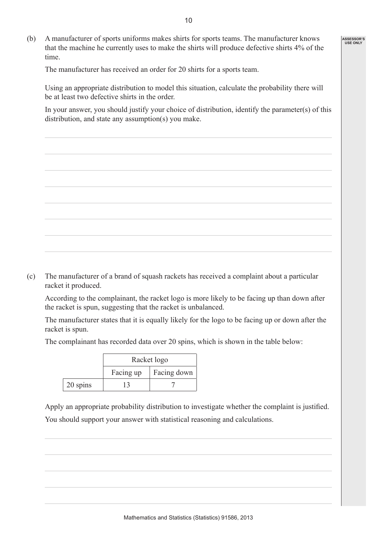(b) A manufacturer of sports uniforms makes shirts for sports teams. The manufacturer knows that the machine he currently uses to make the shirts will produce defective shirts 4% of the time.

The manufacturer has received an order for 20 shirts for a sports team.

Using an appropriate distribution to model this situation, calculate the probability there will be at least two defective shirts in the order.

In your answer, you should justify your choice of distribution, identify the parameter(s) of this distribution, and state any assumption(s) you make.

(c) The manufacturer of a brand of squash rackets has received a complaint about a particular racket it produced.

According to the complainant, the racket logo is more likely to be facing up than down after the racket is spun, suggesting that the racket is unbalanced.

The manufacturer states that it is equally likely for the logo to be facing up or down after the racket is spun.

The complainant has recorded data over 20 spins, which is shown in the table below:

|          | Racket logo |             |
|----------|-------------|-------------|
|          | Facing up   | Facing down |
| 20 spins | 13          |             |

 Apply an appropriate probability distribution to investigate whether the complaint is justified. You should support your answer with statistical reasoning and calculations.

**ASSESSOR'S USE ONLY**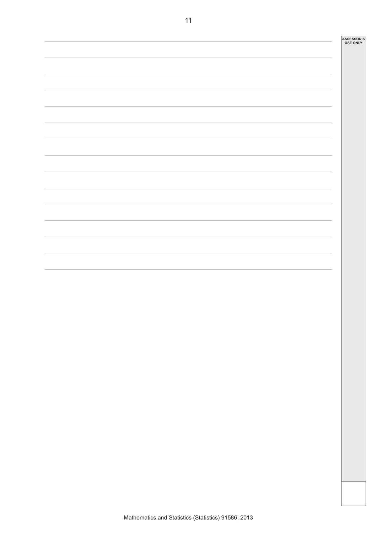| <b>ASSESSOR'S</b> |  |  |  |
|-------------------|--|--|--|
| <b>USE ONLY</b>   |  |  |  |

 $\mathbf{r}$